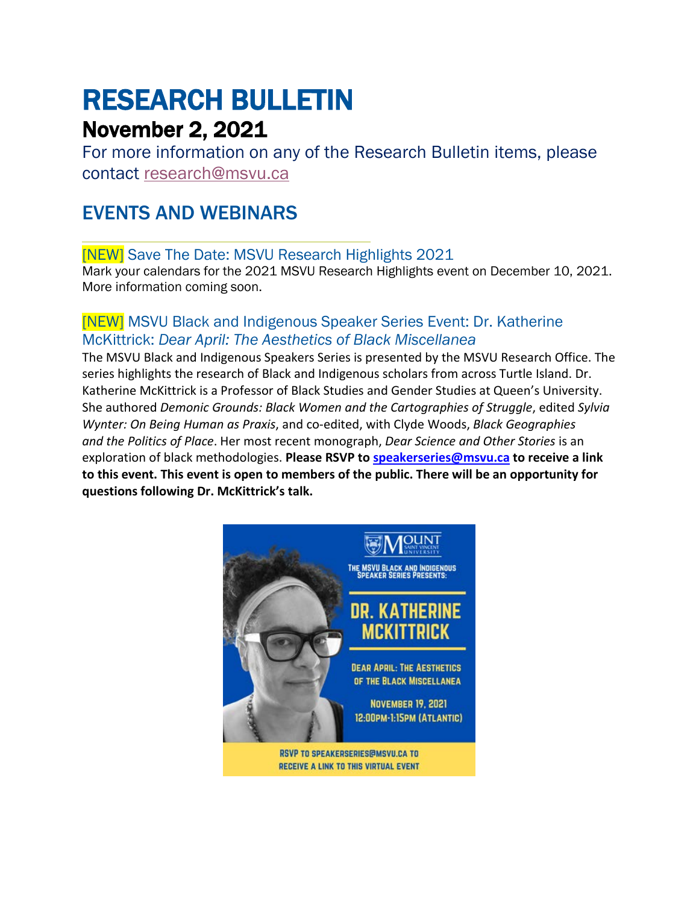# RESEARCH BULLETIN

# November 2, 2021

For more information on any of the Research Bulletin items, please contact [research@msvu.ca](mailto:research@msvu.ca)

# EVENTS AND WEBINARS

[NEW] Save The Date: MSVU Research Highlights 2021

Mark your calendars for the 2021 MSVU Research Highlights event on December 10, 2021. More information coming soon.

### [NEW] MSVU Black and Indigenous Speaker Series Event: Dr. Katherine McKittrick: *Dear April: The Aesthetics of Black Miscellanea*

The MSVU Black and Indigenous Speakers Series is presented by the MSVU Research Office. The series highlights the research of Black and Indigenous scholars from across Turtle Island. Dr. Katherine McKittrick is a Professor of Black Studies and Gender Studies at Queen's University. She authored *Demonic Grounds: Black Women and the Cartographies of Struggle*, edited *Sylvia Wynter: On Being Human as Praxis*, and co-edited, with Clyde Woods, *Black Geographies and the Politics of Place*. Her most recent monograph, *Dear Science and Other Stories* is an exploration of black methodologies. **Please RSVP to [speakerseries@msvu.ca](mailto:speakerseries@msvu.ca) to receive a link to this event. This event is open to members of the public. There will be an opportunity for questions following Dr. McKittrick's talk.**

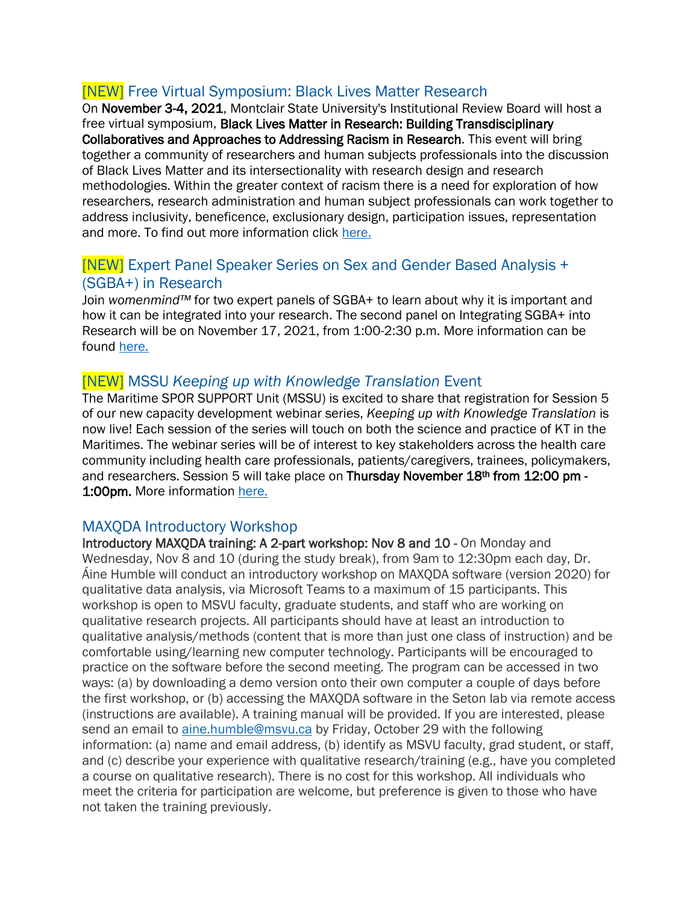### [NEW] Free Virtual Symposium: Black Lives Matter Research

On November 3-4, 2021, Montclair State University's Institutional Review Board will host a free virtual symposium, Black Lives Matter in Research: Building Transdisciplinary Collaboratives and Approaches to Addressing Racism in Research. This event will bring together a community of researchers and human subjects professionals into the discussion of Black Lives Matter and its intersectionality with research design and research methodologies. Within the greater context of racism there is a need for exploration of how researchers, research administration and human subject professionals can work together to address inclusivity, beneficence, exclusionary design, participation issues, representation and more. To find out more information click [here.](https://www.montclair.edu/institutional-review-board/blminresearch/)

#### [NEW] Expert Panel Speaker Series on Sex and Gender Based Analysis + (SGBA+) in Research

Join *womenmind™* for two expert panels of SGBA+ to learn about why it is important and how it can be integrated into your research. The second panel on Integrating SGBA+ into Research will be on November 17, 2021, from 1:00-2:30 p.m. More information can be found [here.](https://projectprotech.ca/wp-content/uploads/2021/09/womenmind-SpeakerSeriesPoster_2021_final.pdf)

#### [NEW] MSSU *Keeping up with Knowledge Translation* Event

The Maritime SPOR SUPPORT Unit (MSSU) is excited to share that registration for Session 5 of our new capacity development webinar series, *Keeping up with Knowledge Translation* is now live! Each session of the series will touch on both the science and practice of KT in the Maritimes. The webinar series will be of interest to key stakeholders across the health care community including health care professionals, patients/caregivers, trainees, policymakers, and researchers. Session 5 will take place on Thursday November 18th from 12:00 pm -1:00pm. More information [here.](http://events.r20.constantcontact.com/register/event?llr=ryzppguab&oeidk=a07eipbk9loc0070aa1)

#### MAXQDA Introductory Workshop

Introductory MAXQDA training: A 2-part workshop: Nov 8 and 10 - On Monday and Wednesday, Nov 8 and 10 (during the study break), from 9am to 12:30pm each day, Dr. Áine Humble will conduct an introductory workshop on MAXQDA software (version 2020) for qualitative data analysis, via Microsoft Teams to a maximum of 15 participants. This workshop is open to MSVU faculty, graduate students, and staff who are working on qualitative research projects. All participants should have at least an introduction to qualitative analysis/methods (content that is more than just one class of instruction) and be comfortable using/learning new computer technology. Participants will be encouraged to practice on the software before the second meeting. The program can be accessed in two ways: (a) by downloading a demo version onto their own computer a couple of days before the first workshop, or (b) accessing the MAXQDA software in the Seton lab via remote access (instructions are available). A training manual will be provided. If you are interested, please send an email to [aine.humble@msvu.ca](mailto:aine.humble@msvu.ca) by Friday, October 29 with the following information: (a) name and email address, (b) identify as MSVU faculty, grad student, or staff, and (c) describe your experience with qualitative research/training (e.g., have you completed a course on qualitative research). There is no cost for this workshop. All individuals who meet the criteria for participation are welcome, but preference is given to those who have not taken the training previously.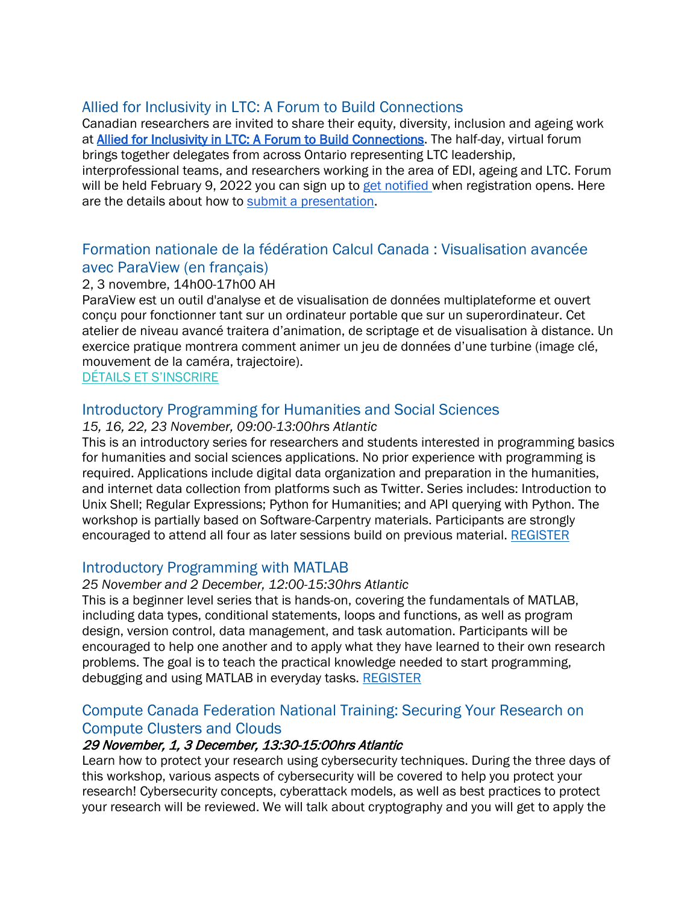#### Allied for Inclusivity in LTC: A Forum to Build Connections

Canadian researchers are invited to share their equity, diversity, inclusion and ageing work at [Allied for Inclusivity in LTC: A Forum to Build Connections.](https://clri-ltc.ca/events/allied-for-inclusivity/) The half-day, virtual forum brings together delegates from across Ontario representing LTC leadership, interprofessional teams, and researchers working in the area of EDI, ageing and LTC. Forum will be held February 9, 2022 you can sign up to [get notified w](https://lp.constantcontactpages.com/su/Hmpkw14/diversityforum)hen registration opens. Here are the details about how to [submit a presentation.](https://clri-ltc.ca/2021/08/call-for-presentations/)

#### Formation nationale de la fédération Calcul Canada : Visualisation avancée avec ParaView (en français)

#### 2, 3 novembre, 14h00-17h00 AH

ParaView est un outil d'analyse et de visualisation de données multiplateforme et ouvert conçu pour fonctionner tant sur un ordinateur portable que sur un superordinateur. Cet atelier de niveau avancé traitera d'animation, de scriptage et de visualisation à distance. Un exercice pratique montrera comment animer un jeu de données d'une turbine (image clé, mouvement de la caméra, trajectoire).

#### [DÉTAILS ET S'INSCRIRE](https://acceleratediscovery.us3.list-manage.com/track/click?u=2f8c75f0071fbe1aed5a7d0e3&id=56beca74aa&e=6014c0790c)

#### Introductory Programming for Humanities and Social Sciences

#### *15, 16, 22, 23 November, 09:00-13:00hrs Atlantic*

This is an introductory series for researchers and students interested in programming basics for humanities and social sciences applications. No prior experience with programming is required. Applications include digital data organization and preparation in the humanities, and internet data collection from platforms such as Twitter. Series includes: Introduction to Unix Shell; Regular Expressions; Python for Humanities; and API querying with Python. The workshop is partially based on Software-Carpentry materials. Participants are strongly encouraged to attend all four as later sessions build on previous material. [REGISTER](https://www.eventbrite.ca/e/acenet-introductory-programming-for-humanities-social-science-tickets-171337704687)

#### Introductory Programming with MATLAB

#### *25 November and 2 December, 12:00-15:30hrs Atlantic*

This is a beginner level series that is hands-on, covering the fundamentals of MATLAB, including data types, conditional statements, loops and functions, as well as program design, version control, data management, and task automation. Participants will be encouraged to help one another and to apply what they have learned to their own research problems. The goal is to teach the practical knowledge needed to start programming, debugging and using MATLAB in everyday tasks. [REGISTER](https://www.eventbrite.ca/e/acenet-introductory-programming-with-matlab-tickets-171330202247)

#### Compute Canada Federation National Training: Securing Your Research on Compute Clusters and Clouds

#### 29 November, 1, 3 December, 13:30-15:00hrs Atlantic

Learn how to protect your research using cybersecurity techniques. During the three days of this workshop, various aspects of cybersecurity will be covered to help you protect your research! Cybersecurity concepts, cyberattack models, as well as best practices to protect your research will be reviewed. We will talk about cryptography and you will get to apply the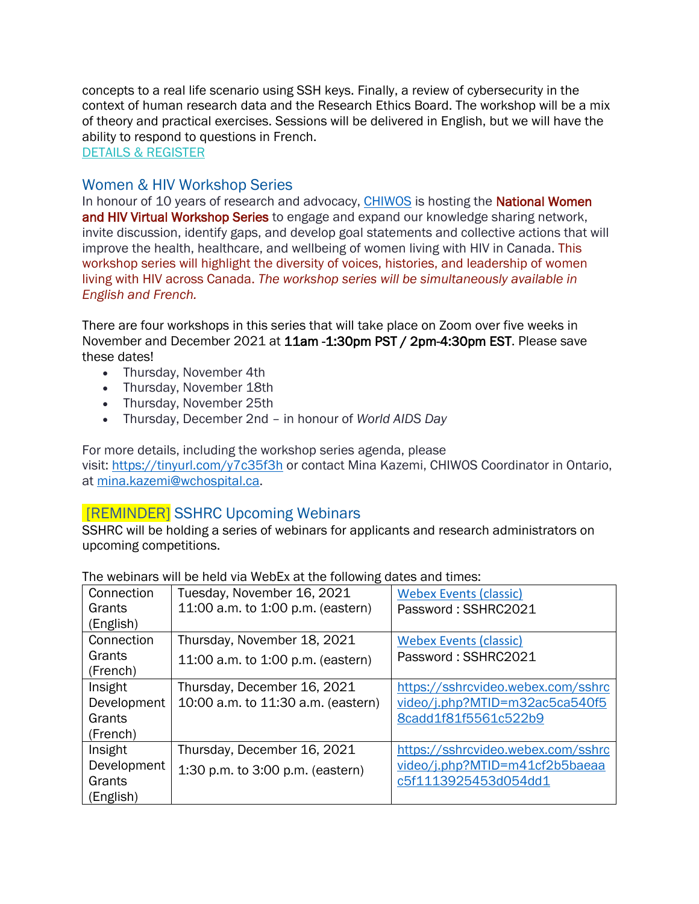concepts to a real life scenario using SSH keys. Finally, a review of cybersecurity in the context of human research data and the Research Ethics Board. The workshop will be a mix of theory and practical exercises. Sessions will be delivered in English, but we will have the ability to respond to questions in French.

[DETAILS & REGISTER](https://acceleratediscovery.us3.list-manage.com/track/click?u=2f8c75f0071fbe1aed5a7d0e3&id=e431b72b1e&e=6014c0790c)

#### Women & HIV Workshop Series

In honour of 10 years of research and advocacy, [CHIWOS](https://can01.safelinks.protection.outlook.com/?url=http%3A%2F%2Fwww.chiwos.ca%2F&data=04%7C01%7CPriscilla.Medeiros%40wchospital.ca%7Cdb806dc412b34a4f1aeb08d973b4bdef%7C26033a94b4704c0bae8b58ee1d2eea24%7C0%7C0%7C637668042376807836%7CUnknown%7CTWFpbGZsb3d8eyJWIjoiMC4wLjAwMDAiLCJQIjoiV2luMzIiLCJBTiI6Ik1haWwiLCJXVCI6Mn0%3D%7C1000&sdata=k6VXndQVCda3IbqXlDnQUq%2B9PKuvkbpcntXAMAZCVck%3D&reserved=0) is hosting the **National Women** and HIV Virtual Workshop Series to engage and expand our knowledge sharing network, invite discussion, identify gaps, and develop goal statements and collective actions that will improve the health, healthcare, and wellbeing of women living with HIV in Canada. This workshop series will highlight the diversity of voices, histories, and leadership of women living with HIV across Canada. *The workshop series will be simultaneously available in English and French.*

There are four workshops in this series that will take place on Zoom over five weeks in November and December 2021 at 11am -1:30pm PST / 2pm-4:30pm EST. Please save these dates!

- Thursday, November 4th
- Thursday, November 18th
- Thursday, November 25th
- Thursday, December 2nd in honour of *World AIDS Day*

For more details, including the workshop series agenda, please visit: [https://tinyurl.com/y7c35f3h](https://can01.safelinks.protection.outlook.com/?url=https%3A%2F%2Ftinyurl.com%2Fy7c35f3h&data=04%7C01%7CPriscilla.Medeiros%40wchospital.ca%7Cdb806dc412b34a4f1aeb08d973b4bdef%7C26033a94b4704c0bae8b58ee1d2eea24%7C0%7C0%7C637668042376807836%7CUnknown%7CTWFpbGZsb3d8eyJWIjoiMC4wLjAwMDAiLCJQIjoiV2luMzIiLCJBTiI6Ik1haWwiLCJXVCI6Mn0%3D%7C1000&sdata=Dj8L%2FpBtRDDy23oImeCLr2xfHpQoT39bQftRjKLshRI%3D&reserved=0) or contact Mina Kazemi, CHIWOS Coordinator in Ontario, at [mina.kazemi@wchospital.ca.](mailto:mina.kazemi@wchospital.ca)

**[REMINDER]** SSHRC Upcoming Webinars<br>SSHRC will be holding a series of webinars for applicants and research administrators on upcoming competitions.

| The webindre will be note vid webLA at the rollowing dated and timed. |                                    |                                    |
|-----------------------------------------------------------------------|------------------------------------|------------------------------------|
| Connection                                                            | Tuesday, November 16, 2021         | <b>Webex Events (classic)</b>      |
| Grants                                                                | 11:00 a.m. to 1:00 p.m. (eastern)  | Password: SSHRC2021                |
| (English)                                                             |                                    |                                    |
| Connection                                                            | Thursday, November 18, 2021        | <b>Webex Events (classic)</b>      |
| Grants                                                                | 11:00 a.m. to 1:00 p.m. (eastern)  | Password: SSHRC2021                |
| (French)                                                              |                                    |                                    |
| Insight                                                               | Thursday, December 16, 2021        | https://sshrcvideo.webex.com/sshrc |
| Development                                                           | 10:00 a.m. to 11:30 a.m. (eastern) | video/j.php?MTID=m32ac5ca540f5     |
| Grants                                                                |                                    | 8cadd1f81f5561c522b9               |
| (French)                                                              |                                    |                                    |
| Insight                                                               | Thursday, December 16, 2021        | https://sshrcvideo.webex.com/sshrc |
| Development                                                           | 1:30 p.m. to 3:00 p.m. (eastern)   | video/j.php?MTID=m41cf2b5baeaa     |
| Grants                                                                |                                    | c5f1113925453d054dd1               |
| (English)                                                             |                                    |                                    |

The webinars will be held via WebEx at the following dates and times: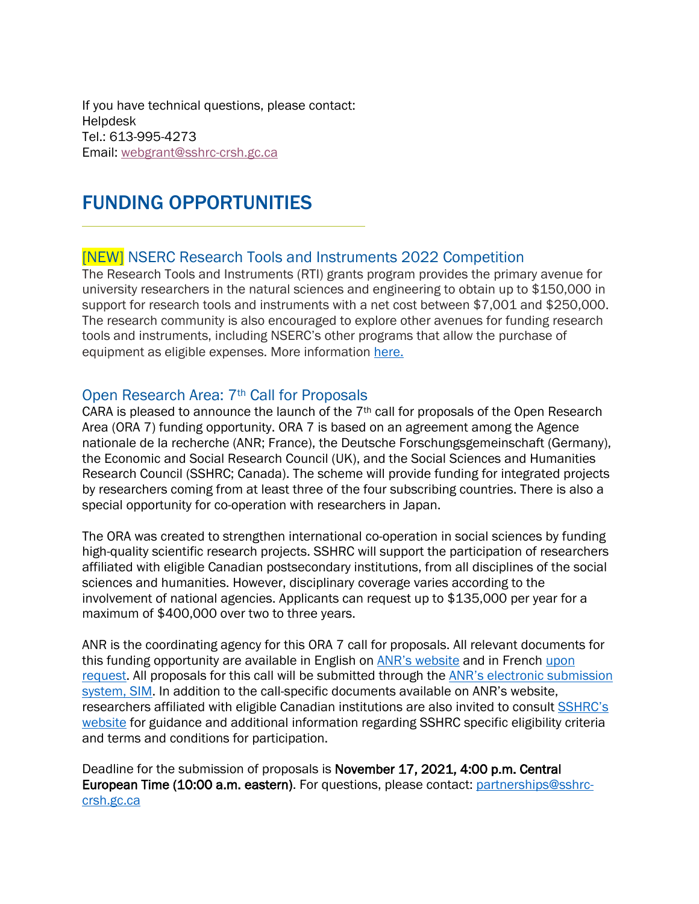If you have technical questions, please contact: **Helpdesk** Tel.: 613-995-4273 Email: [webgrant@sshrc-crsh.gc.ca](file://ottanvdifs01/VDI_UserData/axt/AppData/Roaming/OpenText/OTEdit/enterprise-enterprise/c56073388/webgrant@sshrc-crsh.gc.ca)

# FUNDING OPPORTUNITIES

#### [NEW] NSERC Research Tools and Instruments 2022 Competition

The Research Tools and Instruments (RTI) grants program provides the primary avenue for university researchers in the natural sciences and engineering to obtain up to \$150,000 in support for research tools and instruments with a net cost between \$7,001 and \$250,000. The research community is also encouraged to explore other avenues for funding research tools and instruments, including NSERC's other programs that allow the purchase of equipment as eligible expenses. More information [here.](https://www.uoguelph.ca/research/alerts/content/nserc-research-tools-and-instruments-2022-competition)

Open Research Area: 7<sup>th</sup> Call for Proposals<br>CARA is pleased to announce the launch of the 7<sup>th</sup> call for proposals of the Open Research Area (ORA 7) funding opportunity. ORA 7 is based on an agreement among the Agence nationale de la recherche (ANR; France), the Deutsche Forschungsgemeinschaft (Germany), the Economic and Social Research Council (UK), and the Social Sciences and Humanities Research Council (SSHRC; Canada). The scheme will provide funding for integrated projects by researchers coming from at least three of the four subscribing countries. There is also a special opportunity for co-operation with researchers in Japan.

The ORA was created to strengthen international co-operation in social sciences by funding high-quality scientific research projects. SSHRC will support the participation of researchers affiliated with eligible Canadian postsecondary institutions, from all disciplines of the social sciences and humanities. However, disciplinary coverage varies according to the involvement of national agencies. Applicants can request up to \$135,000 per year for a maximum of \$400,000 over two to three years.

ANR is the coordinating agency for this ORA 7 call for proposals. All relevant documents for this funding opportunity are available in English on [ANR's website](https://can01.safelinks.protection.outlook.com/?url=https%3A%2F%2Fanr.fr%2Fen%2Fcall-for-proposals-details%2Fcall%2Fopen-research-area-for-the-social-sciences-seventh-call-for-proposals-2021%2F&data=04%7C01%7CPPOD-DPOP%40SSHRC-CRSH.GC.CA%7Cbff25ca6a7924e2b3ffd08d972d9415b%7Cfbef079820e34be7bdc8372032610f65%7C1%7C0%7C637667099696253956%7CUnknown%7CTWFpbGZsb3d8eyJWIjoiMC4wLjAwMDAiLCJQIjoiV2luMzIiLCJBTiI6Ik1haWwiLCJXVCI6Mn0%3D%7C1000&sdata=A2IvoG260aJHvaw8RWR5udWjxpaE3T5t5OPr8IxiEEc%3D&reserved=0) and in French [upon](mailto:partnerships@sshrc-crsh.gc.ca)  [request.](mailto:partnerships@sshrc-crsh.gc.ca) All proposals for this call will be submitted through the [ANR's electronic submission](https://can01.safelinks.protection.outlook.com/?url=https%3A%2F%2Faap.agencerecherche.fr%2F_layouts%2F15%2FSIM%2FPages%2FSIMNouveauProjet.aspx%3FidAAP%3D1724&data=04%7C01%7CPPOD-DPOP%40SSHRC-CRSH.GC.CA%7Cbff25ca6a7924e2b3ffd08d972d9415b%7Cfbef079820e34be7bdc8372032610f65%7C1%7C0%7C637667099696263905%7CUnknown%7CTWFpbGZsb3d8eyJWIjoiMC4wLjAwMDAiLCJQIjoiV2luMzIiLCJBTiI6Ik1haWwiLCJXVCI6Mn0%3D%7C1000&sdata=nvfyrHmnP4ls29viW%2B9coRMLWmW7RSbK8QsazeCGmjE%3D&reserved=0)  [system, SIM.](https://can01.safelinks.protection.outlook.com/?url=https%3A%2F%2Faap.agencerecherche.fr%2F_layouts%2F15%2FSIM%2FPages%2FSIMNouveauProjet.aspx%3FidAAP%3D1724&data=04%7C01%7CPPOD-DPOP%40SSHRC-CRSH.GC.CA%7Cbff25ca6a7924e2b3ffd08d972d9415b%7Cfbef079820e34be7bdc8372032610f65%7C1%7C0%7C637667099696263905%7CUnknown%7CTWFpbGZsb3d8eyJWIjoiMC4wLjAwMDAiLCJQIjoiV2luMzIiLCJBTiI6Ik1haWwiLCJXVCI6Mn0%3D%7C1000&sdata=nvfyrHmnP4ls29viW%2B9coRMLWmW7RSbK8QsazeCGmjE%3D&reserved=0) In addition to the call-specific documents available on ANR's website, researchers affiliated with eligible Canadian institutions are also invited to consult [SSHRC's](https://can01.safelinks.protection.outlook.com/?url=http%3A%2F%2Fwww.sshrc-crsh.gc.ca%2Ffunding-financement%2Fprograms-programmes%2Fora%2Findex-eng.aspx&data=04%7C01%7CPPOD-DPOP%40SSHRC-CRSH.GC.CA%7Cbff25ca6a7924e2b3ffd08d972d9415b%7Cfbef079820e34be7bdc8372032610f65%7C1%7C0%7C637667099696263905%7CUnknown%7CTWFpbGZsb3d8eyJWIjoiMC4wLjAwMDAiLCJQIjoiV2luMzIiLCJBTiI6Ik1haWwiLCJXVCI6Mn0%3D%7C1000&sdata=a2USP9zaj9G3N6xT4QqHS7N99cgwy3UNVVbTvIr2FP8%3D&reserved=0)  [website](https://can01.safelinks.protection.outlook.com/?url=http%3A%2F%2Fwww.sshrc-crsh.gc.ca%2Ffunding-financement%2Fprograms-programmes%2Fora%2Findex-eng.aspx&data=04%7C01%7CPPOD-DPOP%40SSHRC-CRSH.GC.CA%7Cbff25ca6a7924e2b3ffd08d972d9415b%7Cfbef079820e34be7bdc8372032610f65%7C1%7C0%7C637667099696263905%7CUnknown%7CTWFpbGZsb3d8eyJWIjoiMC4wLjAwMDAiLCJQIjoiV2luMzIiLCJBTiI6Ik1haWwiLCJXVCI6Mn0%3D%7C1000&sdata=a2USP9zaj9G3N6xT4QqHS7N99cgwy3UNVVbTvIr2FP8%3D&reserved=0) for guidance and additional information regarding SSHRC specific eligibility criteria and terms and conditions for participation.

Deadline for the submission of proposals is November 17, 2021, 4:00 p.m. Central European Time (10:00 a.m. eastern). For questions, please contact: [partnerships@sshrc](file://ottanvdifs01/VDI_UserData/AIB/AppData/Roaming/OpenText/OTEdit/EC_cs971/c68093766/mailto_partnerships@sshrc-crsh.gc.ca)[crsh.gc.ca](file://ottanvdifs01/VDI_UserData/AIB/AppData/Roaming/OpenText/OTEdit/EC_cs971/c68093766/mailto_partnerships@sshrc-crsh.gc.ca)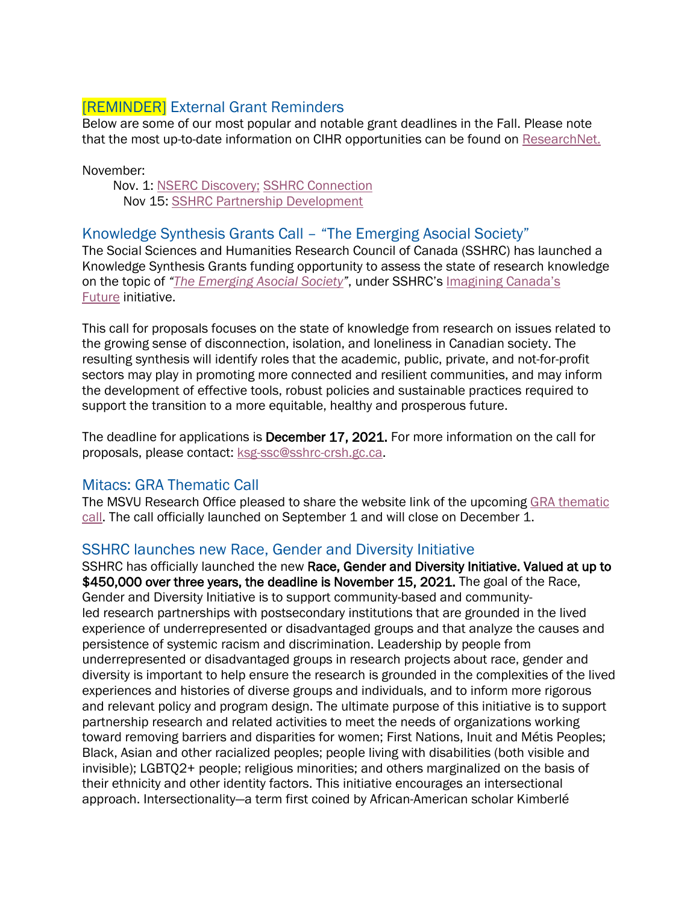### [REMINDER] External Grant Reminders

Below are some of our most popular and notable grant deadlines in the Fall. Please note that the most up-to-date information on CIHR opportunities can be found on [ResearchNet.](https://researchnet-recherchenet.ca/rnr16/LoginServlet?language=E)

November:

 Nov. 1: [NSERC Discovery;](https://www.nserc-crsng.gc.ca/Professors-Professeurs/Grants-Subs/DGIGP-PSIGP_eng.asp) [SSHRC Connection](https://www.sshrc-crsh.gc.ca/funding-financement/programs-programmes/connection_grants-subventions_connexion-eng.aspx) Nov 15: [SSHRC Partnership Development](https://www.sshrc-crsh.gc.ca/funding-financement/programs-programmes/partnership_development_grants-subventions_partenariat_developpement-eng.aspx)

#### Knowledge Synthesis Grants Call – "The Emerging Asocial Society"

The Social Sciences and Humanities Research Council of Canada (SSHRC) has launched a Knowledge Synthesis Grants funding opportunity to assess the state of research knowledge on the topic of *["The Emerging Asocial Society"](https://can01.safelinks.protection.outlook.com/?url=https%3A%2F%2Fwww.sshrc-crsh.gc.ca%2Ffunding-financement%2Fprograms-programmes%2Fksg_asocial_society-ssc_societe_asociale-eng.aspx&data=04%7C01%7CPPOD-DPOP%40SSHRC-CRSH.GC.CA%7C68a060fb49364800f49f08d96e1e657b%7Cfbef079820e34be7bdc8372032610f65%7C1%7C0%7C637661899089622565%7CUnknown%7CTWFpbGZsb3d8eyJWIjoiMC4wLjAwMDAiLCJQIjoiV2luMzIiLCJBTiI6Ik1haWwiLCJXVCI6Mn0%3D%7C1000&sdata=Z%2FL4CyM5kROljwNtt5EhbxPWIqvNx1sm7E2SFPspI9A%3D&reserved=0)*, under SSHRC's [Imagining Canada's](https://can01.safelinks.protection.outlook.com/?url=https%3A%2F%2Fwww.sshrc-crsh.gc.ca%2Fsociety-societe%2Fcommunity-communite%2FImagining_Canadas_Future-Imaginer_l_avenir_du_Canada-eng.aspx&data=04%7C01%7CPPOD-DPOP%40SSHRC-CRSH.GC.CA%7C68a060fb49364800f49f08d96e1e657b%7Cfbef079820e34be7bdc8372032610f65%7C1%7C0%7C637661899089632509%7CUnknown%7CTWFpbGZsb3d8eyJWIjoiMC4wLjAwMDAiLCJQIjoiV2luMzIiLCJBTiI6Ik1haWwiLCJXVCI6Mn0%3D%7C1000&sdata=sgWB3C12NjQt8uNGubT%2FHAMFUWqMJ%2Bc%2FjMExRiN5TX4%3D&reserved=0)  [Future](https://can01.safelinks.protection.outlook.com/?url=https%3A%2F%2Fwww.sshrc-crsh.gc.ca%2Fsociety-societe%2Fcommunity-communite%2FImagining_Canadas_Future-Imaginer_l_avenir_du_Canada-eng.aspx&data=04%7C01%7CPPOD-DPOP%40SSHRC-CRSH.GC.CA%7C68a060fb49364800f49f08d96e1e657b%7Cfbef079820e34be7bdc8372032610f65%7C1%7C0%7C637661899089632509%7CUnknown%7CTWFpbGZsb3d8eyJWIjoiMC4wLjAwMDAiLCJQIjoiV2luMzIiLCJBTiI6Ik1haWwiLCJXVCI6Mn0%3D%7C1000&sdata=sgWB3C12NjQt8uNGubT%2FHAMFUWqMJ%2Bc%2FjMExRiN5TX4%3D&reserved=0) initiative.

This call for proposals focuses on the state of knowledge from research on issues related to the growing sense of disconnection, isolation, and loneliness in Canadian society. The resulting synthesis will identify roles that the academic, public, private, and not-for-profit sectors may play in promoting more connected and resilient communities, and may inform the development of effective tools, robust policies and sustainable practices required to support the transition to a more equitable, healthy and prosperous future.

The deadline for applications is December 17, 2021. For more information on the call for proposals, please contact: [ksg-ssc@sshrc-crsh.gc.ca.](file://ottanvdifs01/VDI_UserData/lxc/AppData/Roaming/OpenText/OTEdit/EC_cs971/c52554283/mailto_ksg-ssc@sshrc-crsh.gc.ca)

#### Mitacs: GRA Thematic Call

The MSVU Research Office pleased to share the website link of the upcoming [GRA thematic](https://www.mitacs.ca/en/programs/globalink/globalink-thematic-call)  [call.](https://www.mitacs.ca/en/programs/globalink/globalink-thematic-call) The call officially launched on September 1 and will close on December 1.

#### SSHRC launches new Race, Gender and Diversity Initiative

SSHRC has officially launched the new Race, Gender and Diversity Initiative. Valued at up to \$450,000 over three years, the deadline is November 15, 2021. The goal of the Race, Gender and Diversity Initiative is to support community-based and communityled research partnerships with postsecondary institutions that are grounded in the lived experience of underrepresented or disadvantaged groups and that analyze the causes and persistence of systemic racism and discrimination. Leadership by people from underrepresented or disadvantaged groups in research projects about race, gender and diversity is important to help ensure the research is grounded in the complexities of the lived experiences and histories of diverse groups and individuals, and to inform more rigorous and relevant policy and program design. The ultimate purpose of this initiative is to support partnership research and related activities to meet the needs of organizations working toward removing barriers and disparities for women; First Nations, Inuit and Métis Peoples; Black, Asian and other racialized peoples; people living with disabilities (both visible and invisible); LGBTQ2+ people; religious minorities; and others marginalized on the basis of their ethnicity and other identity factors. This initiative encourages an intersectional approach. Intersectionality—a term first coined by African-American scholar Kimberlé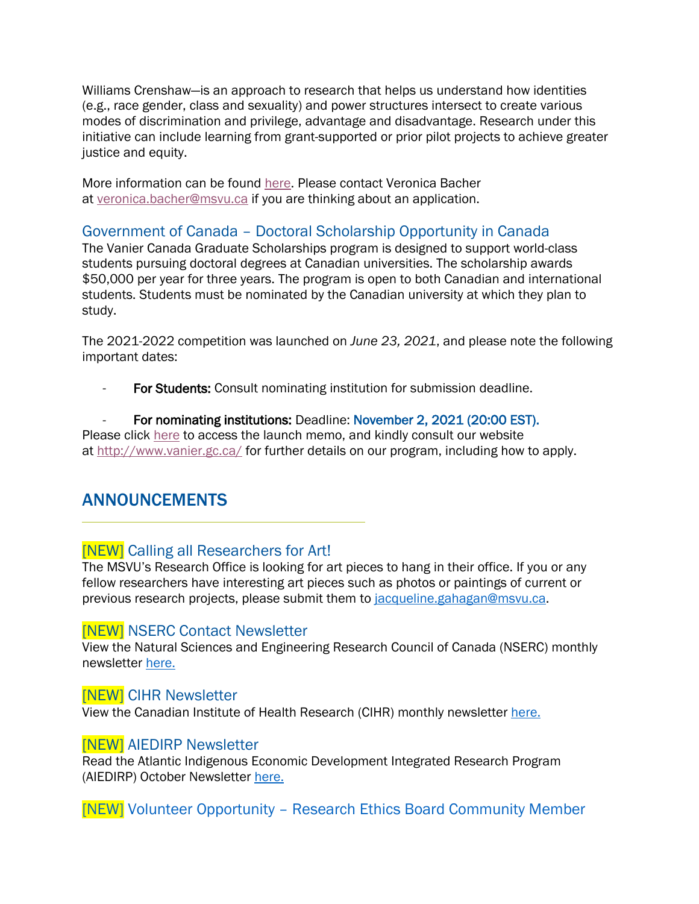Williams Crenshaw—is an approach to research that helps us understand how identities (e.g., race gender, class and sexuality) and power structures intersect to create various modes of discrimination and privilege, advantage and disadvantage. Research under this initiative can include learning from grant-supported or prior pilot projects to achieve greater justice and equity.

More information can be found [here.](https://www.sshrc-crsh.gc.ca/funding-financement/programs-programmes/rgdi-irgd-eng.aspx) Please contact Veronica Bacher at [veronica.bacher@msvu.ca](mailto:veronica.bacher@msvu.ca) if you are thinking about an application.

#### Government of Canada – Doctoral Scholarship Opportunity in Canada

The Vanier Canada Graduate Scholarships program is designed to support world-class students pursuing doctoral degrees at Canadian universities. The scholarship awards \$50,000 per year for three years. The program is open to both Canadian and international students. Students must be nominated by the Canadian university at which they plan to study.

The 2021-2022 competition was launched on *June 23, 2021*, and please note the following important dates:

For Students: Consult nominating institution for submission deadline.

#### For nominating institutions: Deadline: November 2, 2021 (20:00 EST).

Please click [here](https://vanier.gc.ca/en/news-nouv_2021-22.html) to access the launch memo, and kindly consult our website at <http://www.vanier.gc.ca/> for further details on our program, including how to apply.

### ANNOUNCEMENTS

#### [NEW] Calling all Researchers for Art!

The MSVU's Research Office is looking for art pieces to hang in their office. If you or any fellow researchers have interesting art pieces such as photos or paintings of current or previous research projects, please submit them to [jacqueline.gahagan@msvu.ca.](mailto:jacqueline.gahagan@msvu.ca)

#### [NEW] NSERC Contact Newsletter

View the Natural Sciences and Engineering Research Council of Canada (NSERC) monthly newsletter [here.](https://www.nserc-crsng.gc.ca/Media-Media/Newsletter-Bulletin/v45_n3/contact_eng.html)

#### [NEW] CIHR Newsletter

View the Canadian Institute of Health Research (CIHR) monthly newsletter [here.](https://suivi.lnk01.com/v/443/a1bc484810dc22463787b530c7372999b483a8de64f605ba)

#### [NEW] AIEDIRP Newsletter

Read the Atlantic Indigenous Economic Development Integrated Research Program (AIEDIRP) October Newsletter [here.](https://mailchi.mp/09912e4d454b/aiedirp-october-newsletter?e=bf54bd9efb)

[NEW] Volunteer Opportunity – Research Ethics Board Community Member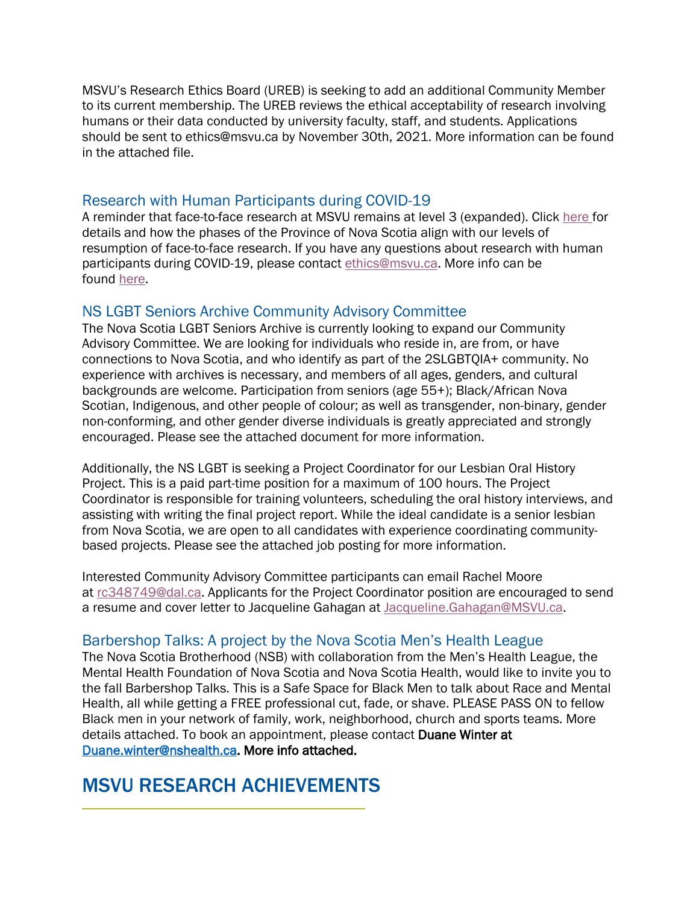MSVU's Research Ethics Board (UREB) is seeking to add an additional Community Member to its current membership. The UREB reviews the ethical acceptability of research involving humans or their data conducted by university faculty, staff, and students. Applications should be sent to ethics@msvu.ca by November 30th, 2021. More information can be found in the attached file.

Research with Human Participants during COVID-19<br>A reminder that face-to-face research at MSVU remains at level 3 (expanded). Click [here](https://www.msvu.ca/wp-content/uploads/2021/07/Current-COVID-Research-Status-July-14-2021.pdf) for details and how the phases of the Province of Nova Scotia align with our levels of resumption of face-to-face research. If you have any questions about research with human participants during COVID-19, please contact [ethics@msvu.ca.](mailto:ethics@msvu.ca) More info can be found [here.](https://www.msvu.ca/research-at-the-mount/research-ethics/covid-19-research-information/)

NS LGBT Seniors Archive Community Advisory Committee The Nova Scotia LGBT Seniors Archive is currently looking to expand our Community Advisory Committee. We are looking for individuals who reside in, are from, or have connections to Nova Scotia, and who identify as part of the 2SLGBTQIA+ community. No experience with archives is necessary, and members of all ages, genders, and cultural backgrounds are welcome. Participation from seniors (age 55+); Black/African Nova Scotian, Indigenous, and other people of colour; as well as transgender, non-binary, gender non-conforming, and other gender diverse individuals is greatly appreciated and strongly encouraged. Please see the attached document for more information.

Additionally, the NS LGBT is seeking a Project Coordinator for our Lesbian Oral History Project. This is a paid part-time position for a maximum of 100 hours. The Project Coordinator is responsible for training volunteers, scheduling the oral history interviews, and assisting with writing the final project report. While the ideal candidate is a senior lesbian from Nova Scotia, we are open to all candidates with experience coordinating communitybased projects. Please see the attached job posting for more information.

Interested Community Advisory Committee participants can email Rachel Moore at [rc348749@dal.ca.](mailto:rc348749@dal.ca) Applicants for the Project Coordinator position are encouraged to send a resume and cover letter to Jacqueline Gahagan at [Jacqueline.Gahagan@MSVU.ca.](mailto:Jacqueline.Gahagan@MSVU.ca)

#### Barbershop Talks: A project by the Nova Scotia Men's Health League

The Nova Scotia Brotherhood (NSB) with collaboration from the Men's Health League, the Mental Health Foundation of Nova Scotia and Nova Scotia Health, would like to invite you to the fall Barbershop Talks. This is a Safe Space for Black Men to talk about Race and Mental Health, all while getting a FREE professional cut, fade, or shave. PLEASE PASS ON to fellow Black men in your network of family, work, neighborhood, church and sports teams. More details attached. To book an appointment, please contact Duane Winter at [Duane.winter@nshealth.ca.](mailto:Duane.winter@nshealth.ca) More info attached.

# MSVU RESEARCH ACHIEVEMENTS